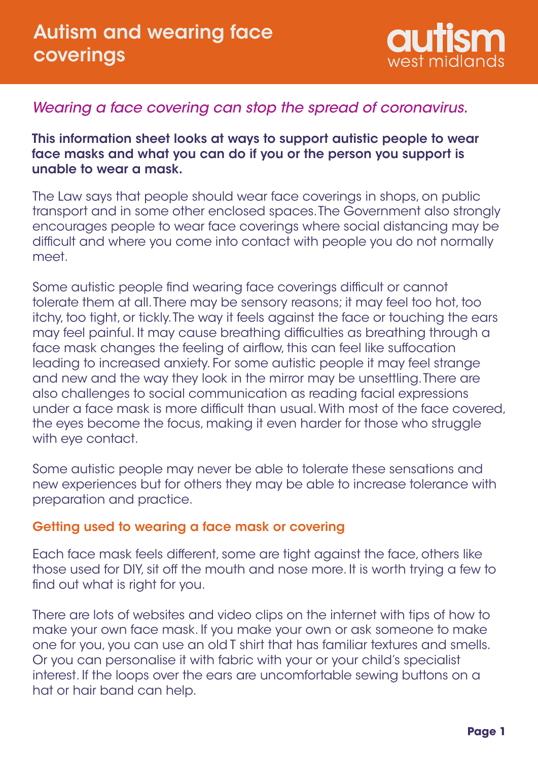

# *Wearing a face covering can stop the spread of coronavirus.*

This information sheet looks at ways to support autistic people to wear face masks and what you can do if you or the person you support is unable to wear a mask.

The Law says that people should wear face coverings in shops, on public transport and in some other enclosed spaces. The Government also strongly encourages people to wear face coverings where social distancing may be difficult and where you come into contact with people you do not normally meet.

Some autistic people find wearing face coverings difficult or cannot tolerate them at all. There may be sensory reasons; it may feel too hot, too itchy, too tight, or tickly. The way it feels against the face or touching the ears may feel painful. It may cause breathing difficulties as breathing through a face mask changes the feeling of airflow, this can feel like suffocation leading to increased anxiety. For some autistic people it may feel strange and new and the way they look in the mirror may be unsettling. There are also challenges to social communication as reading facial expressions under a face mask is more difficult than usual. With most of the face covered, the eyes become the focus, making it even harder for those who struggle with eye contact.

Some autistic people may never be able to tolerate these sensations and new experiences but for others they may be able to increase tolerance with preparation and practice.

#### Getting used to wearing a face mask or covering

Each face mask feels different, some are tight against the face, others like those used for DIY, sit off the mouth and nose more. It is worth trying a few to find out what is right for you.

There are lots of websites and video clips on the internet with tips of how to make your own face mask. If you make your own or ask someone to make one for you, you can use an old T shirt that has familiar textures and smells. Or you can personalise it with fabric with your or your child's specialist interest. If the loops over the ears are uncomfortable sewing buttons on a hat or hair band can help.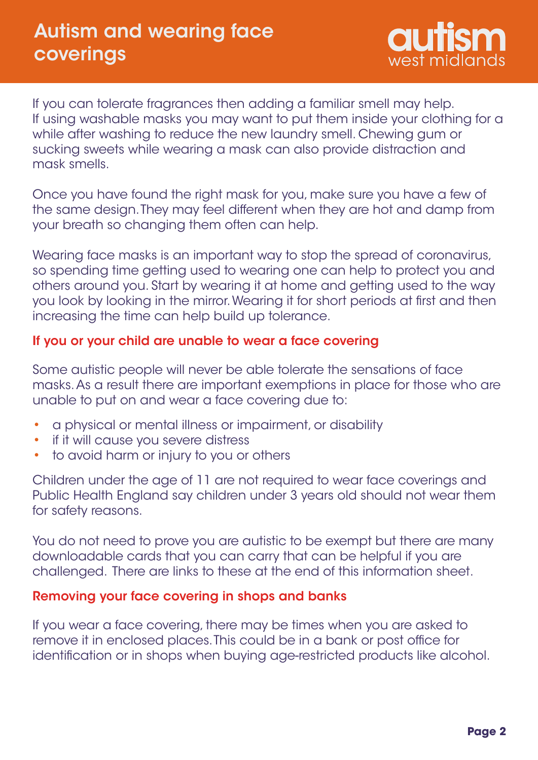

If you can tolerate fragrances then adding a familiar smell may help. If using washable masks you may want to put them inside your clothing for a while after washing to reduce the new laundry smell. Chewing gum or sucking sweets while wearing a mask can also provide distraction and mask smells.

Once you have found the right mask for you, make sure you have a few of the same design. They may feel different when they are hot and damp from your breath so changing them often can help.

Wearing face masks is an important way to stop the spread of coronavirus, so spending time getting used to wearing one can help to protect you and others around you. Start by wearing it at home and getting used to the way you look by looking in the mirror. Wearing it for short periods at first and then increasing the time can help build up tolerance.

## If you or your child are unable to wear a face covering

Some autistic people will never be able tolerate the sensations of face masks. As a result there are important exemptions in place for those who are unable to put on and wear a face covering due to:

- a physical or mental illness or impairment, or disability •
- if it will cause you severe distress •
- to avoid harm or injury to you or others •

Children under the age of 11 are not required to wear face coverings and Public Health England say children under 3 years old should not wear them for safety reasons.

You do not need to prove you are autistic to be exempt but there are many downloadable cards that you can carry that can be helpful if you are challenged. There are links to these at the end of this information sheet.

## Removing your face covering in shops and banks

If you wear a face covering, there may be times when you are asked to remove it in enclosed places. This could be in a bank or post office for identification or in shops when buying age-restricted products like alcohol.